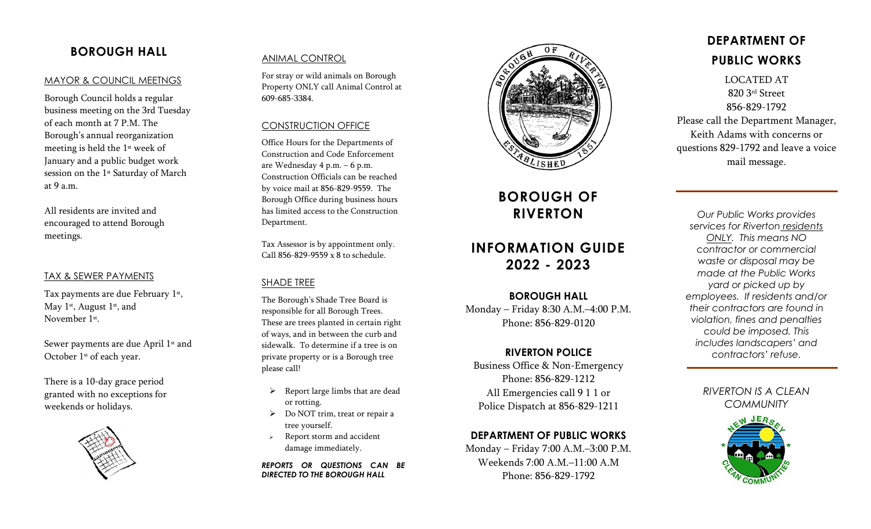# **BOROUGH HALL**

#### MAYOR & COUNCIL MEETNGS

Borough Council holds a regular business meeting on the 3rd Tuesday of each month at 7 P.M. The Borough's annual reorganization meeting is held the 1st week of January and a public budget work session on the 1<sup>st</sup> Saturday of March at 9 a.m .

All resident s are invited and encouraged to attend Borough meetings.

#### TAX & SEWER PAYMENTS

Tax payments are due February 1<sup>st</sup>, May 1<sup>st</sup>, August 1<sup>st</sup>, and November 1st.

Sewer payments are due April 1<sup>st</sup> and October 1<sup>st</sup> of each year.

There is a 10 -day grace period granted with no exceptions for weekends or holidays .



## ANIMAL CONTROL

For stray or wild animals on Borough Property ONLY call Animal Control at 609 -685 -3384 .

#### CONSTRUCTION OFFICE

Office Hours for the Department s of Construction and Code Enforcement are Wednesday 4 p . m . – 6 p .m. Construction Officials can be reached by voice mail at 856 -829 -9559. The Borough Office during business hours has limited access to the Construction Department.

Tax Assessor is by appointment only. Call 856 -829 -9559 x 8 to schedule.

### SHADE TREE

The Borough's Shade Tree Board is responsible for all Borough Trees. These are trees planted in certain right of ways, and in between the curb and sidewalk. To determine if a tree is on private property or is a Borough tree please call!

- $\triangleright$  Report large limbs that are dead or rotting .
- ➢ Do NOT trim, treat or repair a tree yourself .
- ➢ Report storm and accident damage immediately .

*REPORTS OR QUESTIONS CAN BE DIRECTED TO THE BOROUGH HALL*



# **BOROUGH OF RIVERTON**

# **INFORMATION GUIDE 20 2 2 - 20 2 3**

### **BOROUGH HALL**

Monday – Friday 8:30 A.M. –4:00 P . M . Phone: 856 -829 -0120

### **RIVERTON POLICE**

Business Office & Non -Emergency Phone: 856 -829 -121 2 All Emergencies call 9 1 1 or Police Dispatch at 856 -829 -1211

## **DEPARTMENT OF PUBLIC WORKS**

Monday – Friday 7:00 A . M . –3:00 P . M . Weekends 7:00 A . M . –11:00 A . M Phone: 856 -829 -1792

# **DEPARTMENT OF PUBLIC WORKS**

LOCATED AT 820 3rd Street 856 -829 -1792 Please call the Department Manager, Keith Adams with concerns or questions 829 -1792 and leave a voice mail message.

*Our Public Works provides services for Riverton residents ONLY. This means NO contractor or commercial waste or disposal may be made at the Public Works yard or picked up by employees. If residents and/or their contractors are found in violation, fines and penalties could be imposed. This includes landscapers' and contractors' refuse.* 

# *RIVERTON IS A CLEAN COMMUNITY*